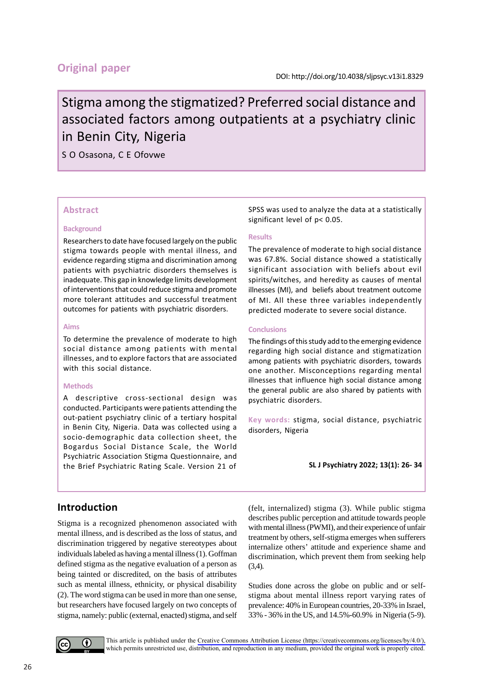# **Original paper**

# Stigma among the stigmatized? Preferred social distance and associated factors among outpatients at a psychiatry clinic in Benin City, Nigeria

S O Osasona, C E Ofovwe

## **Abstract**

#### **Background**

Researchers to date have focused largely on the public stigma towards people with mental illness, and evidence regarding stigma and discrimination among patients with psychiatric disorders themselves is inadequate. This gap in knowledge limits development of interventions that could reduce stigma and promote more tolerant attitudes and successful treatment outcomes for patients with psychiatric disorders.

#### **Aims**

To determine the prevalence of moderate to high social distance among patients with mental illnesses, and to explore factors that are associated with this social distance.

#### **Methods**

A descriptive cross-sectional design was conducted. Participants were patients attending the out-patient psychiatry clinic of a tertiary hospital in Benin City, Nigeria. Data was collected using a socio-demographic data collection sheet, the Bogardus Social Distance Scale, the World Psychiatric Association Stigma Questionnaire, and the Brief Psychiatric Rating Scale. Version 21 of SPSS was used to analyze the data at a statistically significant level of p< 0.05.

#### **Results**

The prevalence of moderate to high social distance was 67.8%. Social distance showed a statistically significant association with beliefs about evil spirits/witches, and heredity as causes of mental illnesses (MI), and beliefs about treatment outcome of MI. All these three variables independently predicted moderate to severe social distance.

#### **Conclusions**

The findings of this study add to the emerging evidence regarding high social distance and stigmatization among patients with psychiatric disorders, towards one another. Misconceptions regarding mental illnesses that influence high social distance among the general public are also shared by patients with psychiatric disorders.

**Key words:** stigma, social distance, psychiatric disorders, Nigeria

#### **SL J Psychiatry 2022; 13(1): 26- 34**

# **Introduction**

Stigma is a recognized phenomenon associated with mental illness, and is described as the loss of status, and discrimination triggered by negative stereotypes about individuals labeled as having a mental illness (1). Goffman defined stigma as the negative evaluation of a person as being tainted or discredited, on the basis of attributes such as mental illness, ethnicity, or physical disability (2). The word stigma can be used in more than one sense, but researchers have focused largely on two concepts of stigma, namely: public (external, enacted) stigma, and self (felt, internalized) stigma (3). While public stigma describes public perception and attitude towards people with mental illness (PWMI), and their experience of unfair treatment by others, self-stigma emerges when sufferers internalize others' attitude and experience shame and discrimination, which prevent them from seeking help (3,4).

Studies done across the globe on public and or selfstigma about mental illness report varying rates of prevalence: 40% in European countries, 20-33% in Israel, 33% - 36% in the US, and 14.5%-60.9% in Nigeria (5-9).



This article is published under the [Creative Commons Attribution License \(https://creativecommons.org/licenses/by/4.0/\),](https://creativecommons.org/licenses/by/4.0/) which permits unrestricted use, distribution, and reproduction in any medium, provided the original work is properly cited.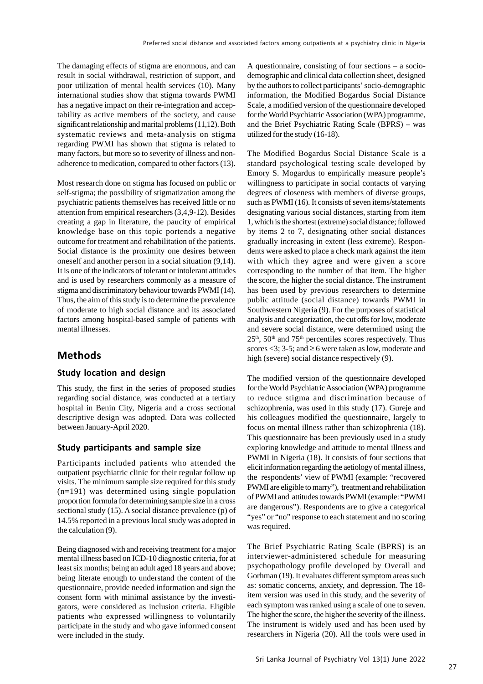The damaging effects of stigma are enormous, and can result in social withdrawal, restriction of support, and poor utilization of mental health services (10). Many international studies show that stigma towards PWMI has a negative impact on their re-integration and acceptability as active members of the society, and cause significant relationship and marital problems (11,12). Both systematic reviews and meta-analysis on stigma regarding PWMI has shown that stigma is related to many factors, but more so to severity of illness and nonadherence to medication, compared to other factors (13).

Most research done on stigma has focused on public or self-stigma; the possibility of stigmatization among the psychiatric patients themselves has received little or no attention from empirical researchers (3,4,9-12). Besides creating a gap in literature, the paucity of empirical knowledge base on this topic portends a negative outcome for treatment and rehabilitation of the patients. Social distance is the proximity one desires between oneself and another person in a social situation (9,14). It is one of the indicators of tolerant or intolerant attitudes and is used by researchers commonly as a measure of stigma and discriminatory behaviour towards PWMI (14). Thus, the aim of this study is to determine the prevalence of moderate to high social distance and its associated factors among hospital-based sample of patients with mental illnesses.

## **Methods**

#### **Study location and design**

This study, the first in the series of proposed studies regarding social distance, was conducted at a tertiary hospital in Benin City, Nigeria and a cross sectional descriptive design was adopted. Data was collected between January-April 2020.

#### **Study participants and sample size**

Participants included patients who attended the outpatient psychiatric clinic for their regular follow up visits. The minimum sample size required for this study (n=191) was determined using single population proportion formula for determining sample size in a cross sectional study (15). A social distance prevalence (p) of 14.5% reported in a previous local study was adopted in the calculation (9).

Being diagnosed with and receiving treatment for a major mental illness based on ICD-10 diagnostic criteria, for at least six months; being an adult aged 18 years and above; being literate enough to understand the content of the questionnaire, provide needed information and sign the consent form with minimal assistance by the investigators, were considered as inclusion criteria. Eligible patients who expressed willingness to voluntarily participate in the study and who gave informed consent were included in the study.

A questionnaire, consisting of four sections – a sociodemographic and clinical data collection sheet, designed by the authors to collect participants' socio-demographic information, the Modified Bogardus Social Distance Scale, a modified version of the questionnaire developed for the World Psychiatric Association (WPA) programme, and the Brief Psychiatric Rating Scale (BPRS) – was utilized for the study (16-18).

The Modified Bogardus Social Distance Scale is a standard psychological testing scale developed by Emory S. Mogardus to empirically measure people's willingness to participate in social contacts of varying degrees of closeness with members of diverse groups, such as PWMI (16). It consists of seven items/statements designating various social distances, starting from item 1, which is the shortest (extreme) social distance; followed by items 2 to 7, designating other social distances gradually increasing in extent (less extreme). Respondents were asked to place a check mark against the item with which they agree and were given a score corresponding to the number of that item. The higher the score, the higher the social distance. The instrument has been used by previous researchers to determine public attitude (social distance) towards PWMI in Southwestern Nigeria (9). For the purposes of statistical analysis and categorization, the cut offs for low, moderate and severe social distance, were determined using the  $25<sup>th</sup>$ ,  $50<sup>th</sup>$  and  $75<sup>th</sup>$  percentiles scores respectively. Thus scores <3; 3-5; and  $\geq$  6 were taken as low, moderate and high (severe) social distance respectively (9).

The modified version of the questionnaire developed for the World Psychiatric Association (WPA) programme to reduce stigma and discrimination because of schizophrenia, was used in this study (17). Gureje and his colleagues modified the questionnaire, largely to focus on mental illness rather than schizophrenia (18). This questionnaire has been previously used in a study exploring knowledge and attitude to mental illness and PWMI in Nigeria (18). It consists of four sections that elicit information regarding the aetiology of mental illness, the respondents' view of PWMI (example: "recovered PWMI are eligible to marry"), treatment and rehabilitation of PWMI and attitudes towards PWMI (example: "PWMI are dangerous"). Respondents are to give a categorical "yes" or "no" response to each statement and no scoring was required.

The Brief Psychiatric Rating Scale (BPRS) is an interviewer-administered schedule for measuring psychopathology profile developed by Overall and Gorhman (19). It evaluates different symptom areas such as: somatic concerns, anxiety, and depression. The 18 item version was used in this study, and the severity of each symptom was ranked using a scale of one to seven. The higher the score, the higher the severity of the illness. The instrument is widely used and has been used by researchers in Nigeria (20). All the tools were used in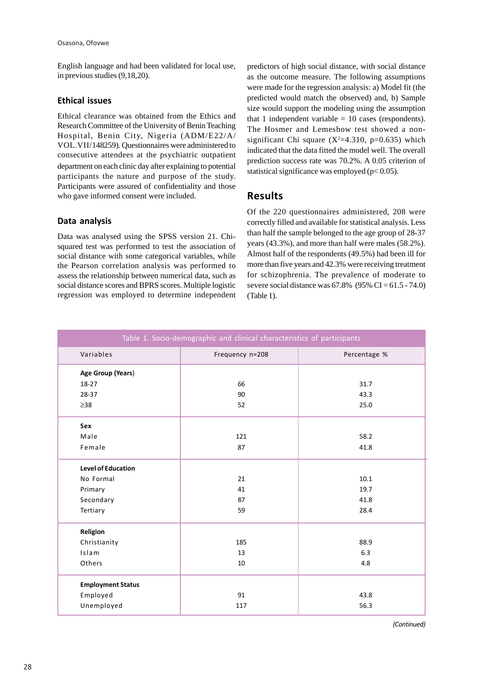English language and had been validated for local use, in previous studies (9,18,20).

#### **Ethical issues**

Ethical clearance was obtained from the Ethics and Research Committee of the University of Benin Teaching Hospital, Benin City, Nigeria (ADM/E22/A/ VOL.VII/148259). Questionnaires were administered to consecutive attendees at the psychiatric outpatient department on each clinic day after explaining to potential participants the nature and purpose of the study. Participants were assured of confidentiality and those who gave informed consent were included.

#### **Data analysis**

Data was analysed using the SPSS version 21. Chisquared test was performed to test the association of social distance with some categorical variables, while the Pearson correlation analysis was performed to assess the relationship between numerical data, such as social distance scores and BPRS scores. Multiple logistic regression was employed to determine independent predictors of high social distance, with social distance as the outcome measure. The following assumptions were made for the regression analysis: a) Model fit (the predicted would match the observed) and, b) Sample size would support the modeling using the assumption that 1 independent variable  $= 10$  cases (respondents). The Hosmer and Lemeshow test showed a nonsignificant Chi square  $(X^2=4.310, p=0.635)$  which indicated that the data fitted the model well. The overall prediction success rate was 70.2%. A 0.05 criterion of statistical significance was employed (p< 0.05).

## **Results**

Of the 220 questionnaires administered, 208 were correctly filled and available for statistical analysis. Less than half the sample belonged to the age group of 28-37 years (43.3%), and more than half were males (58.2%). Almost half of the respondents (49.5%) had been ill for more than five years and 42.3% were receiving treatment for schizophrenia. The prevalence of moderate to severe social distance was  $67.8\%$  (95% CI =  $61.5 - 74.0$ ) (Table 1).

|                           | Table 1. Socio-demographic and clinical characteristics of participants |              |  |  |  |  |
|---------------------------|-------------------------------------------------------------------------|--------------|--|--|--|--|
| Variables                 | Frequency n=208                                                         | Percentage % |  |  |  |  |
| Age Group (Years)         |                                                                         |              |  |  |  |  |
| 18-27                     | 66                                                                      | 31.7         |  |  |  |  |
| 28-37                     | 90                                                                      | 43.3         |  |  |  |  |
| $\geq$ 38                 | 52                                                                      | 25.0         |  |  |  |  |
| Sex                       |                                                                         |              |  |  |  |  |
| Male                      | 121                                                                     | 58.2         |  |  |  |  |
| Female                    | 87                                                                      | 41.8         |  |  |  |  |
| <b>Level of Education</b> |                                                                         |              |  |  |  |  |
| No Formal                 | 21                                                                      | 10.1         |  |  |  |  |
| Primary                   | 41                                                                      | 19.7         |  |  |  |  |
| Secondary                 | 87                                                                      | 41.8         |  |  |  |  |
| Tertiary                  | 59                                                                      | 28.4         |  |  |  |  |
| Religion                  |                                                                         |              |  |  |  |  |
| Christianity              | 185                                                                     | 88.9         |  |  |  |  |
| Islam                     | 13                                                                      | 6.3          |  |  |  |  |
| Others                    | 10                                                                      | 4.8          |  |  |  |  |
| <b>Employment Status</b>  |                                                                         |              |  |  |  |  |
| Employed                  | 91                                                                      | 43.8         |  |  |  |  |
| Unemployed                | 117                                                                     | 56.3         |  |  |  |  |

*(Continued)*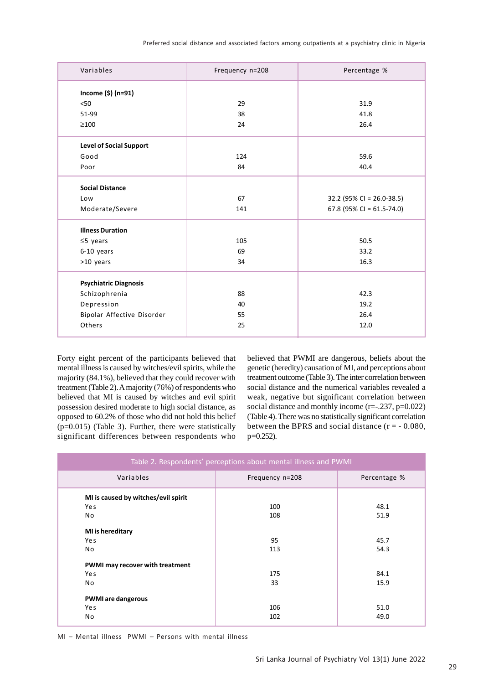| Variables                      | Frequency n=208 | Percentage %                 |
|--------------------------------|-----------------|------------------------------|
| Income (\$) (n=91)             |                 |                              |
| < 50                           | 29              | 31.9                         |
| 51-99                          | 38              | 41.8                         |
| $\geq$ 100                     | 24              | 26.4                         |
| <b>Level of Social Support</b> |                 |                              |
| Good                           | 124             | 59.6                         |
| Poor                           | 84              | 40.4                         |
| <b>Social Distance</b>         |                 |                              |
| Low                            | 67              | 32.2 (95% CI = 26.0-38.5)    |
| Moderate/Severe                | 141             | 67.8 (95% CI = $61.5-74.0$ ) |
| <b>Illness Duration</b>        |                 |                              |
| $\leq$ 5 years                 | 105             | 50.5                         |
| 6-10 years                     | 69              | 33.2                         |
| >10 years                      | 34              | 16.3                         |
| <b>Psychiatric Diagnosis</b>   |                 |                              |
| Schizophrenia                  | 88              | 42.3                         |
| Depression                     | 40              | 19.2                         |
| Bipolar Affective Disorder     | 55              | 26.4                         |
| Others                         | 25              | 12.0                         |

Forty eight percent of the participants believed that mental illness is caused by witches/evil spirits, while the majority (84.1%), believed that they could recover with treatment (Table 2). A majority (76%) of respondents who believed that MI is caused by witches and evil spirit possession desired moderate to high social distance, as opposed to 60.2% of those who did not hold this belief (p=0.015) (Table 3). Further, there were statistically significant differences between respondents who

believed that PWMI are dangerous, beliefs about the genetic (heredity) causation of MI, and perceptions about treatment outcome (Table 3). The inter correlation between social distance and the numerical variables revealed a weak, negative but significant correlation between social distance and monthly income (r=-.237, p=0.022) (Table 4). There was no statistically significant correlation between the BPRS and social distance  $(r = -0.080,$ p=0.252).

| Table 2. Respondents' perceptions about mental illness and PWMI |                 |              |  |  |  |  |
|-----------------------------------------------------------------|-----------------|--------------|--|--|--|--|
| Variables                                                       | Frequency n=208 | Percentage % |  |  |  |  |
| MI is caused by witches/evil spirit                             |                 |              |  |  |  |  |
| Ye s                                                            | 100             | 48.1         |  |  |  |  |
| No                                                              | 108             | 51.9         |  |  |  |  |
| MI is hereditary                                                |                 |              |  |  |  |  |
| Ye s                                                            | 95              | 45.7         |  |  |  |  |
| No                                                              | 113             | 54.3         |  |  |  |  |
| PWMI may recover with treatment                                 |                 |              |  |  |  |  |
| Ye s                                                            | 175             | 84.1         |  |  |  |  |
| No                                                              | 33              | 15.9         |  |  |  |  |
| <b>PWMI</b> are dangerous                                       |                 |              |  |  |  |  |
| Ye s                                                            | 106             | 51.0         |  |  |  |  |
| No                                                              | 102             | 49.0         |  |  |  |  |

MI – Mental illness PWMI – Persons with mental illness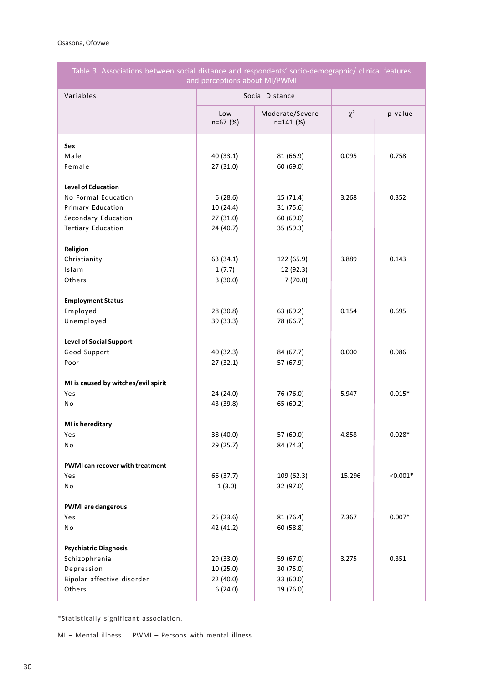Г

| Table 3. Associations between social distance and respondents' socio-demographic/ clinical features<br>and perceptions about MI/PWMI |                   |                                |          |            |  |  |  |
|--------------------------------------------------------------------------------------------------------------------------------------|-------------------|--------------------------------|----------|------------|--|--|--|
| Variables                                                                                                                            |                   | Social Distance                |          |            |  |  |  |
|                                                                                                                                      | Low<br>$n=67$ (%) | Moderate/Severe<br>$n=141$ (%) | $\chi^2$ | p-value    |  |  |  |
| Sex                                                                                                                                  |                   |                                |          |            |  |  |  |
| Male                                                                                                                                 | 40 (33.1)         | 81 (66.9)                      | 0.095    | 0.758      |  |  |  |
| Female                                                                                                                               | 27 (31.0)         | 60 (69.0)                      |          |            |  |  |  |
| <b>Level of Education</b>                                                                                                            |                   |                                |          |            |  |  |  |
| No Formal Education                                                                                                                  | 6(28.6)           | 15 (71.4)                      | 3.268    | 0.352      |  |  |  |
| Primary Education                                                                                                                    | 10(24.4)          | 31 (75.6)                      |          |            |  |  |  |
| Secondary Education                                                                                                                  | 27 (31.0)         | 60 (69.0)                      |          |            |  |  |  |
| Tertiary Education                                                                                                                   | 24 (40.7)         | 35 (59.3)                      |          |            |  |  |  |
| Religion                                                                                                                             |                   |                                |          |            |  |  |  |
| Christianity                                                                                                                         | 63 (34.1)         | 122 (65.9)                     | 3.889    | 0.143      |  |  |  |
| Islam                                                                                                                                | 1(7.7)            | 12 (92.3)                      |          |            |  |  |  |
| Others                                                                                                                               | 3(30.0)           | 7(70.0)                        |          |            |  |  |  |
| <b>Employment Status</b>                                                                                                             |                   |                                |          |            |  |  |  |
| Employed                                                                                                                             | 28 (30.8)         | 63 (69.2)                      | 0.154    | 0.695      |  |  |  |
| Unemployed                                                                                                                           | 39 (33.3)         | 78 (66.7)                      |          |            |  |  |  |
| <b>Level of Social Support</b>                                                                                                       |                   |                                |          |            |  |  |  |
| Good Support                                                                                                                         | 40 (32.3)         | 84 (67.7)                      | 0.000    | 0.986      |  |  |  |
| Poor                                                                                                                                 | 27(32.1)          | 57 (67.9)                      |          |            |  |  |  |
| MI is caused by witches/evil spirit                                                                                                  |                   |                                |          |            |  |  |  |
| Yes                                                                                                                                  | 24 (24.0)         | 76 (76.0)                      | 5.947    | $0.015*$   |  |  |  |
| No                                                                                                                                   | 43 (39.8)         | 65 (60.2)                      |          |            |  |  |  |
| MI is hereditary                                                                                                                     |                   |                                |          |            |  |  |  |
| Yes                                                                                                                                  | 38 (40.0)         | 57 (60.0)                      | 4.858    | $0.028*$   |  |  |  |
| No                                                                                                                                   | 29 (25.7)         | 84 (74.3)                      |          |            |  |  |  |
| PWMI can recover with treatment                                                                                                      |                   |                                |          |            |  |  |  |
| Yes                                                                                                                                  | 66 (37.7)         | 109 (62.3)                     | 15.296   | $< 0.001*$ |  |  |  |
| No                                                                                                                                   | 1(3.0)            | 32 (97.0)                      |          |            |  |  |  |
| <b>PWMI</b> are dangerous                                                                                                            |                   |                                |          |            |  |  |  |
| Yes                                                                                                                                  | 25 (23.6)         | 81 (76.4)                      | 7.367    | $0.007*$   |  |  |  |
| No                                                                                                                                   | 42 (41.2)         | 60 (58.8)                      |          |            |  |  |  |
| <b>Psychiatric Diagnosis</b>                                                                                                         |                   |                                |          |            |  |  |  |
| Schizophrenia                                                                                                                        | 29 (33.0)         | 59 (67.0)                      | 3.275    | 0.351      |  |  |  |
| Depression                                                                                                                           | 10(25.0)          | 30 (75.0)                      |          |            |  |  |  |
| Bipolar affective disorder                                                                                                           | 22 (40.0)         | 33 (60.0)                      |          |            |  |  |  |
| Others                                                                                                                               | 6(24.0)           | 19 (76.0)                      |          |            |  |  |  |

\*Statistically significant association.

MI – Mental illness PWMI – Persons with mental illness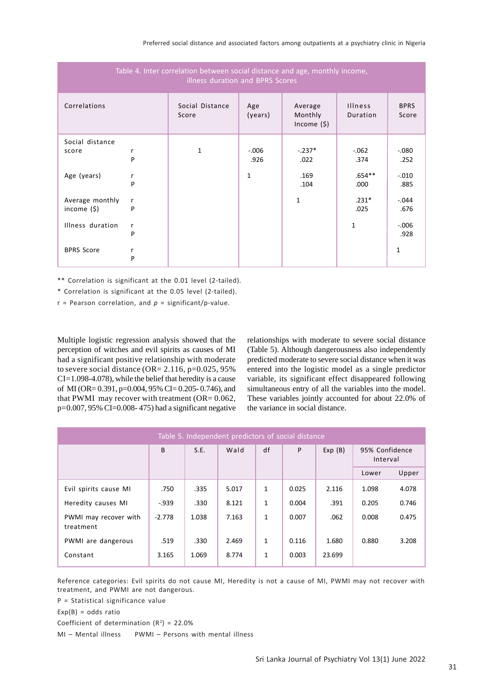| Table 4. Inter correlation between social distance and age, monthly income,<br>illness duration and BPRS Scores |        |                          |                  |                                    |                     |                      |  |
|-----------------------------------------------------------------------------------------------------------------|--------|--------------------------|------------------|------------------------------------|---------------------|----------------------|--|
| Correlations                                                                                                    |        | Social Distance<br>Score | Age<br>(years)   | Average<br>Monthly<br>Income $(5)$ | Illness<br>Duration | <b>BPRS</b><br>Score |  |
| Social distance<br>score                                                                                        | r<br>P | 1                        | $-0.006$<br>.926 | $-.237*$<br>.022                   | $-062$<br>.374      | $-080$<br>.252       |  |
| Age (years)                                                                                                     | r<br>P |                          | $\mathbf{1}$     | .169<br>.104                       | $.654***$<br>.000   | $-.010$<br>.885      |  |
| Average monthly<br>income (\$)                                                                                  | r<br>P |                          |                  | $\mathbf{1}$                       | $.231*$<br>.025     | $-0.044$<br>.676     |  |
| Illness duration                                                                                                | r<br>P |                          |                  |                                    | 1                   | $-0.006$<br>.928     |  |
| <b>BPRS Score</b>                                                                                               | r<br>P |                          |                  |                                    |                     | 1                    |  |

\*\* Correlation is significant at the 0.01 level (2-tailed).

\* Correlation is significant at the 0.05 level (2-tailed).

 $r =$  Pearson correlation, and  $p =$  significant/p-value.

Multiple logistic regression analysis showed that the perception of witches and evil spirits as causes of MI had a significant positive relationship with moderate to severe social distance (OR=  $2.116$ , p= $0.025$ , 95%  $CI=1.098-4.078$ , while the belief that heredity is a cause of MI (OR=  $0.391$ , p= $0.004$ , 95% CI=  $0.205 - 0.746$ ), and that PWMI may recover with treatment ( $OR = 0.062$ ,  $p=0.007, 95\%$  CI=0.008-475) had a significant negative relationships with moderate to severe social distance (Table 5). Although dangerousness also independently predicted moderate to severe social distance when it was entered into the logistic model as a single predictor variable, its significant effect disappeared following simultaneous entry of all the variables into the model. These variables jointly accounted for about 22.0% of the variance in social distance.

| Table 5. Independent predictors of social distance |          |       |       |    |       |        |                            |       |
|----------------------------------------------------|----------|-------|-------|----|-------|--------|----------------------------|-------|
|                                                    | B        | S.E.  | Wald  | df | P     | Exp(B) | 95% Confidence<br>Interval |       |
|                                                    |          |       |       |    |       |        | Lower                      | Upper |
| Evil spirits cause MI                              | .750     | .335  | 5.017 | 1  | 0.025 | 2.116  | 1.098                      | 4.078 |
| Heredity causes MI                                 | $-0.939$ | .330  | 8.121 | 1  | 0.004 | .391   | 0.205                      | 0.746 |
| PWMI may recover with<br>treatment                 | $-2.778$ | 1.038 | 7.163 | 1  | 0.007 | .062   | 0.008                      | 0.475 |
| PWMI are dangerous                                 | .519     | .330  | 2.469 | 1  | 0.116 | 1.680  | 0.880                      | 3.208 |
| Constant                                           | 3.165    | 1.069 | 8.774 | 1  | 0.003 | 23.699 |                            |       |

Reference categories: Evil spirits do not cause MI, Heredity is not a cause of MI, PWMI may not recover with treatment, and PWMI are not dangerous.

P = Statistical significance value

 $Exp(B) = odds ratio$ 

Coefficient of determination  $(R^2) = 22.0\%$ 

MI – Mental illness PWMI – Persons with mental illness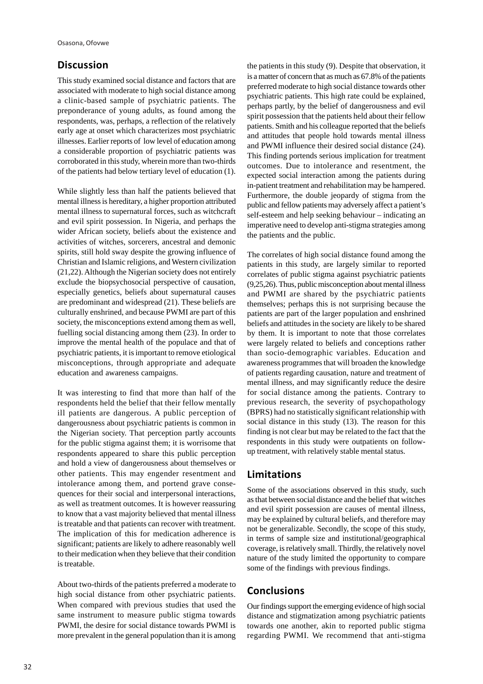# **Discussion**

This study examined social distance and factors that are associated with moderate to high social distance among a clinic-based sample of psychiatric patients. The preponderance of young adults, as found among the respondents, was, perhaps, a reflection of the relatively early age at onset which characterizes most psychiatric illnesses. Earlier reports of low level of education among a considerable proportion of psychiatric patients was corroborated in this study, wherein more than two-thirds of the patients had below tertiary level of education (1).

While slightly less than half the patients believed that mental illness is hereditary, a higher proportion attributed mental illness to supernatural forces, such as witchcraft and evil spirit possession. In Nigeria, and perhaps the wider African society, beliefs about the existence and activities of witches, sorcerers, ancestral and demonic spirits, still hold sway despite the growing influence of Christian and Islamic religions, and Western civilization (21,22). Although the Nigerian society does not entirely exclude the biopsychosocial perspective of causation, especially genetics, beliefs about supernatural causes are predominant and widespread (21). These beliefs are culturally enshrined, and because PWMI are part of this society, the misconceptions extend among them as well, fuelling social distancing among them (23). In order to improve the mental health of the populace and that of psychiatric patients, it is important to remove etiological misconceptions, through appropriate and adequate education and awareness campaigns.

It was interesting to find that more than half of the respondents held the belief that their fellow mentally ill patients are dangerous. A public perception of dangerousness about psychiatric patients is common in the Nigerian society. That perception partly accounts for the public stigma against them; it is worrisome that respondents appeared to share this public perception and hold a view of dangerousness about themselves or other patients. This may engender resentment and intolerance among them, and portend grave consequences for their social and interpersonal interactions, as well as treatment outcomes. It is however reassuring to know that a vast majority believed that mental illness is treatable and that patients can recover with treatment. The implication of this for medication adherence is significant; patients are likely to adhere reasonably well to their medication when they believe that their condition is treatable.

About two-thirds of the patients preferred a moderate to high social distance from other psychiatric patients. When compared with previous studies that used the same instrument to measure public stigma towards PWMI, the desire for social distance towards PWMI is more prevalent in the general population than it is among the patients in this study (9). Despite that observation, it is a matter of concern that as much as 67.8% of the patients preferred moderate to high social distance towards other psychiatric patients. This high rate could be explained, perhaps partly, by the belief of dangerousness and evil spirit possession that the patients held about their fellow patients. Smith and his colleague reported that the beliefs and attitudes that people hold towards mental illness and PWMI influence their desired social distance (24). This finding portends serious implication for treatment outcomes. Due to intolerance and resentment, the expected social interaction among the patients during in-patient treatment and rehabilitation may be hampered. Furthermore, the double jeopardy of stigma from the public and fellow patients may adversely affect a patient's self-esteem and help seeking behaviour – indicating an imperative need to develop anti-stigma strategies among the patients and the public.

The correlates of high social distance found among the patients in this study, are largely similar to reported correlates of public stigma against psychiatric patients (9,25,26). Thus, public misconception about mental illness and PWMI are shared by the psychiatric patients themselves; perhaps this is not surprising because the patients are part of the larger population and enshrined beliefs and attitudes in the society are likely to be shared by them. It is important to note that those correlates were largely related to beliefs and conceptions rather than socio-demographic variables. Education and awareness programmes that will broaden the knowledge of patients regarding causation, nature and treatment of mental illness, and may significantly reduce the desire for social distance among the patients. Contrary to previous research, the severity of psychopathology (BPRS) had no statistically significant relationship with social distance in this study (13). The reason for this finding is not clear but may be related to the fact that the respondents in this study were outpatients on followup treatment, with relatively stable mental status.

# **Limitations**

Some of the associations observed in this study, such as that between social distance and the belief that witches and evil spirit possession are causes of mental illness, may be explained by cultural beliefs, and therefore may not be generalizable. Secondly, the scope of this study, in terms of sample size and institutional/geographical coverage, is relatively small. Thirdly, the relatively novel nature of the study limited the opportunity to compare some of the findings with previous findings.

# **Conclusions**

Our findings support the emerging evidence of high social distance and stigmatization among psychiatric patients towards one another, akin to reported public stigma regarding PWMI. We recommend that anti-stigma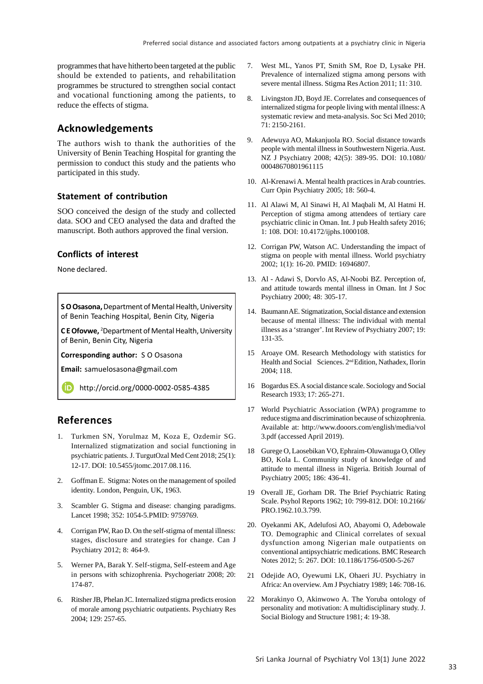programmes that have hitherto been targeted at the public should be extended to patients, and rehabilitation programmes be structured to strengthen social contact and vocational functioning among the patients, to reduce the effects of stigma.

## **Acknowledgements**

The authors wish to thank the authorities of the University of Benin Teaching Hospital for granting the permission to conduct this study and the patients who participated in this study.

#### **Statement of contribution**

SOO conceived the design of the study and collected data. SOO and CEO analysed the data and drafted the manuscript. Both authors approved the final version.

#### **Conflicts of interest**

None declared.

**S O Osasona,** Department of Mental Health, University of Benin Teaching Hospital, Benin City, Nigeria

**C E Ofovwe,** <sup>2</sup> Department of Mental Health, University of Benin, Benin City, Nigeria

**Corresponding author:** S O Osasona

**Email:** samuelosasona@gmail.com

http://orcid.org/0000-0002-0585-4385

## **References**

- 1. Turkmen SN, Yorulmaz M, Koza E, Ozdemir SG. Internalized stigmatization and social functioning in psychiatric patients. J. TurgutOzal Med Cent 2018; 25(1): 12-17. DOI: 10.5455/jtomc.2017.08.116.
- 2. Goffman E. Stigma: Notes on the management of spoiled identity. London, Penguin, UK, 1963.
- 3. Scambler G. Stigma and disease: changing paradigms. Lancet 1998; 352: 1054-5.PMID: 9759769.
- 4. Corrigan PW, Rao D. On the self-stigma of mental illness: stages, disclosure and strategies for change. Can J Psychiatry 2012; 8: 464-9.
- 5. Werner PA, Barak Y. Self-stigma, Self-esteem and Age in persons with schizophrenia. Psychogeriatr 2008; 20: 174-87.
- 6. Ritsher JB, Phelan JC. Internalized stigma predicts erosion of morale among psychiatric outpatients. Psychiatry Res 2004; 129: 257-65.
- 7. West ML, Yanos PT, Smith SM, Roe D, Lysake PH. Prevalence of internalized stigma among persons with severe mental illness. Stigma Res Action 2011; 11: 310.
- 8. Livingston JD, Boyd JE. Correlates and consequences of internalized stigma for people living with mental illness: A systematic review and meta-analysis. Soc Sci Med 2010; 71: 2150-2161.
- 9. Adewuya AO, Makanjuola RO. Social distance towards people with mental illness in Southwestern Nigeria. Aust. NZ J Psychiatry 2008; 42(5): 389-95. DOI: 10.1080/ 00048670801961115
- 10. Al-Krenawi A. Mental health practices in Arab countries. Curr Opin Psychiatry 2005; 18: 560-4.
- 11. Al Alawi M, Al Sinawi H, Al Maqbali M, Al Hatmi H. Perception of stigma among attendees of tertiary care psychiatric clinic in Oman. Int. J pub Health safety 2016; 1: 108. DOI: 10.4172/ijphs.1000108.
- 12. Corrigan PW, Watson AC. Understanding the impact of stigma on people with mental illness. World psychiatry 2002; 1(1): 16-20. PMID: 16946807.
- 13. Al Adawi S, Dorvlo AS, Al-Noobi BZ. Perception of, and attitude towards mental illness in Oman. Int J Soc Psychiatry 2000; 48: 305-17.
- 14. Baumann AE. Stigmatization, Social distance and extension because of mental illness: The individual with mental illness as a 'stranger'. Int Review of Psychiatry 2007; 19: 131-35.
- 15 Aroaye OM. Research Methodology with statistics for Health and Social Sciences. 2<sup>nd</sup> Edition, Nathadex, Ilorin 2004; 118.
- 16 Bogardus ES. A social distance scale. Sociology and Social Research 1933; 17: 265-271.
- 17 World Psychiatric Association (WPA) programme to reduce stigma and discrimination because of schizophrenia. Available at: http://www.dooors.com/english/media/vol 3.pdf (accessed April 2019).
- 18 Gurege O, Laosebikan VO, Ephraim-Oluwanuga O, Olley BO, Kola L. Community study of knowledge of and attitude to mental illness in Nigeria. British Journal of Psychiatry 2005; 186: 436-41.
- 19 Overall JE, Gorham DR. The Brief Psychiatric Rating Scale. Psyhol Reports 1962; 10: 799-812. DOI: 10.2166/ PRO.1962.10.3.799.
- 20. Oyekanmi AK, Adelufosi AO, Abayomi O, Adebowale TO. Demographic and Clinical correlates of sexual dysfunction among Nigerian male outpatients on conventional antipsychiatric medications. BMC Research Notes 2012; 5: 267. DOI: 10.1186/1756-0500-5-267
- 21 Odejide AO, Oyewumi LK, Ohaeri JU. Psychiatry in Africa: An overview. Am J Psychiatry 1989; 146: 708-16.
- 22 Morakinyo O, Akinwowo A. The Yoruba ontology of personality and motivation: A multidisciplinary study. J. Social Biology and Structure 1981; 4: 19-38.